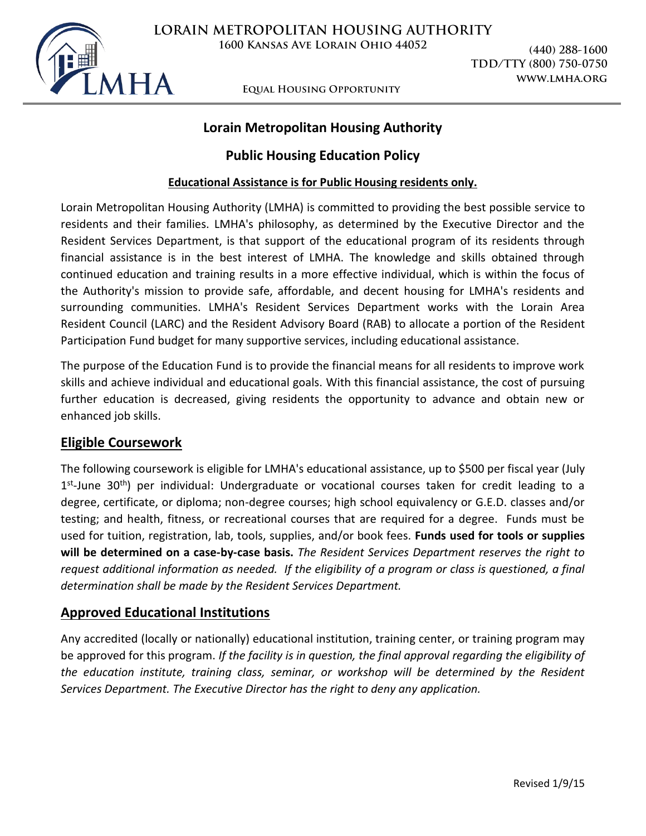

# **Lorain Metropolitan Housing Authority**

## **Public Housing Education Policy**

### **Educational Assistance is for Public Housing residents only.**

Lorain Metropolitan Housing Authority (LMHA) is committed to providing the best possible service to residents and their families. LMHA's philosophy, as determined by the Executive Director and the Resident Services Department, is that support of the educational program of its residents through financial assistance is in the best interest of LMHA. The knowledge and skills obtained through continued education and training results in a more effective individual, which is within the focus of the Authority's mission to provide safe, affordable, and decent housing for LMHA's residents and surrounding communities. LMHA's Resident Services Department works with the Lorain Area Resident Council (LARC) and the Resident Advisory Board (RAB) to allocate a portion of the Resident Participation Fund budget for many supportive services, including educational assistance.

The purpose of the Education Fund is to provide the financial means for all residents to improve work skills and achieve individual and educational goals. With this financial assistance, the cost of pursuing further education is decreased, giving residents the opportunity to advance and obtain new or enhanced job skills.

## **Eligible Coursework**

The following coursework is eligible for LMHA's educational assistance, up to \$500 per fiscal year (July 1<sup>st</sup>-June 30<sup>th</sup>) per individual: Undergraduate or vocational courses taken for credit leading to a degree, certificate, or diploma; non-degree courses; high school equivalency or G.E.D. classes and/or testing; and health, fitness, or recreational courses that are required for a degree. Funds must be used for tuition, registration, lab, tools, supplies, and/or book fees. **Funds used for tools or supplies will be determined on a case-by-case basis.** *The Resident Services Department reserves the right to request additional information as needed. If the eligibility of a program or class is questioned, a final determination shall be made by the Resident Services Department.* 

## **Approved Educational Institutions**

Any accredited (locally or nationally) educational institution, training center, or training program may be approved for this program. *If the facility is in question, the final approval regarding the eligibility of the education institute, training class, seminar, or workshop will be determined by the Resident Services Department. The Executive Director has the right to deny any application.*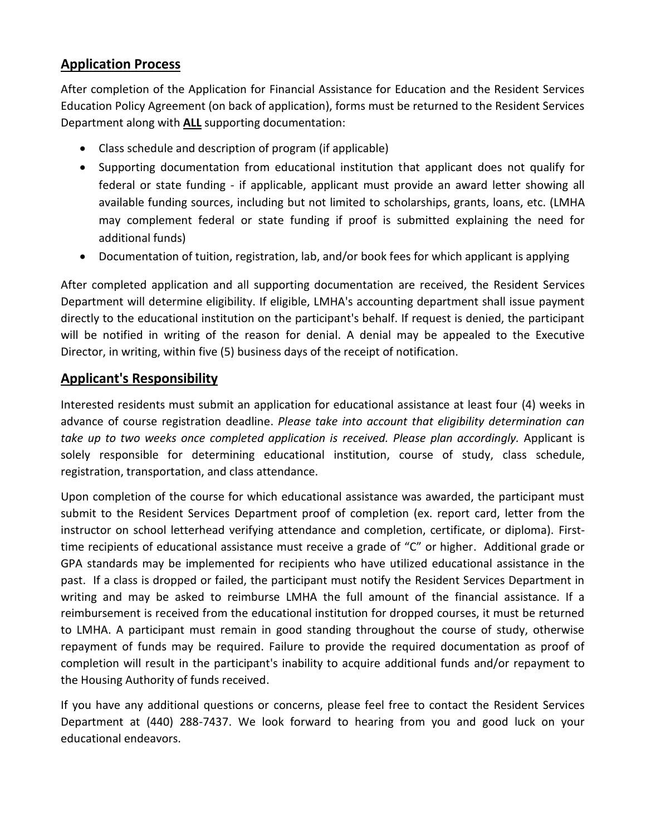# **Application Process**

After completion of the Application for Financial Assistance for Education and the Resident Services Education Policy Agreement (on back of application), forms must be returned to the Resident Services Department along with **ALL** supporting documentation:

- Class schedule and description of program (if applicable)
- Supporting documentation from educational institution that applicant does not qualify for federal or state funding - if applicable, applicant must provide an award letter showing all available funding sources, including but not limited to scholarships, grants, loans, etc. (LMHA may complement federal or state funding if proof is submitted explaining the need for additional funds)
- Documentation of tuition, registration, lab, and/or book fees for which applicant is applying

After completed application and all supporting documentation are received, the Resident Services Department will determine eligibility. If eligible, LMHA's accounting department shall issue payment directly to the educational institution on the participant's behalf. If request is denied, the participant will be notified in writing of the reason for denial. A denial may be appealed to the Executive Director, in writing, within five (5) business days of the receipt of notification.

# **Applicant's Responsibility**

Interested residents must submit an application for educational assistance at least four (4) weeks in advance of course registration deadline. *Please take into account that eligibility determination can take up to two weeks once completed application is received. Please plan accordingly.* Applicant is solely responsible for determining educational institution, course of study, class schedule, registration, transportation, and class attendance.

Upon completion of the course for which educational assistance was awarded, the participant must submit to the Resident Services Department proof of completion (ex. report card, letter from the instructor on school letterhead verifying attendance and completion, certificate, or diploma). Firsttime recipients of educational assistance must receive a grade of "C" or higher. Additional grade or GPA standards may be implemented for recipients who have utilized educational assistance in the past. If a class is dropped or failed, the participant must notify the Resident Services Department in writing and may be asked to reimburse LMHA the full amount of the financial assistance. If a reimbursement is received from the educational institution for dropped courses, it must be returned to LMHA. A participant must remain in good standing throughout the course of study, otherwise repayment of funds may be required. Failure to provide the required documentation as proof of completion will result in the participant's inability to acquire additional funds and/or repayment to the Housing Authority of funds received.

If you have any additional questions or concerns, please feel free to contact the Resident Services Department at (440) 288-7437. We look forward to hearing from you and good luck on your educational endeavors.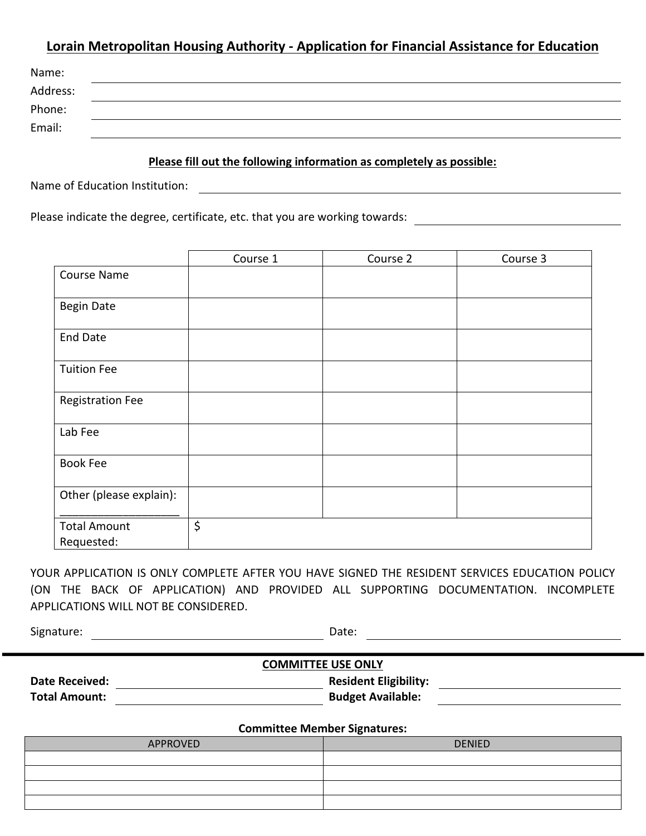# **Lorain Metropolitan Housing Authority - Application for Financial Assistance for Education**

| Name:    |  |
|----------|--|
| Address: |  |
| Phone:   |  |
| Email:   |  |

#### **Please fill out the following information as completely as possible:**

Name of Education Institution:

Please indicate the degree, certificate, etc. that you are working towards:

|                         | Course 1 | Course 2 | Course 3 |
|-------------------------|----------|----------|----------|
| <b>Course Name</b>      |          |          |          |
| <b>Begin Date</b>       |          |          |          |
| <b>End Date</b>         |          |          |          |
| <b>Tuition Fee</b>      |          |          |          |
| <b>Registration Fee</b> |          |          |          |
| Lab Fee                 |          |          |          |
| <b>Book Fee</b>         |          |          |          |
| Other (please explain): |          |          |          |
| <b>Total Amount</b>     | \$       |          |          |
| Requested:              |          |          |          |

YOUR APPLICATION IS ONLY COMPLETE AFTER YOU HAVE SIGNED THE RESIDENT SERVICES EDUCATION POLICY (ON THE BACK OF APPLICATION) AND PROVIDED ALL SUPPORTING DOCUMENTATION. INCOMPLETE APPLICATIONS WILL NOT BE CONSIDERED.

Signature: Date: Date: Date: Date: Date: Date: Date: Date: Date: Date: Date: Date: Date: Date: Date: Date: Date: Date: Date: Date: Date: Date: Date: Date: Date: Date: Date: Date: Date: Date: Date: Date: Date: Date: Date: D

| <b>COMMITTEE USE ONLY</b> |  |                              |  |  |  |
|---------------------------|--|------------------------------|--|--|--|
| <b>Date Received:</b>     |  | <b>Resident Eligibility:</b> |  |  |  |
| <b>Total Amount:</b>      |  | <b>Budget Available:</b>     |  |  |  |

#### **Committee Member Signatures:**

| committee member of protones. |               |  |  |  |  |
|-------------------------------|---------------|--|--|--|--|
| APPROVED                      | <b>DENIED</b> |  |  |  |  |
|                               |               |  |  |  |  |
|                               |               |  |  |  |  |
|                               |               |  |  |  |  |
|                               |               |  |  |  |  |